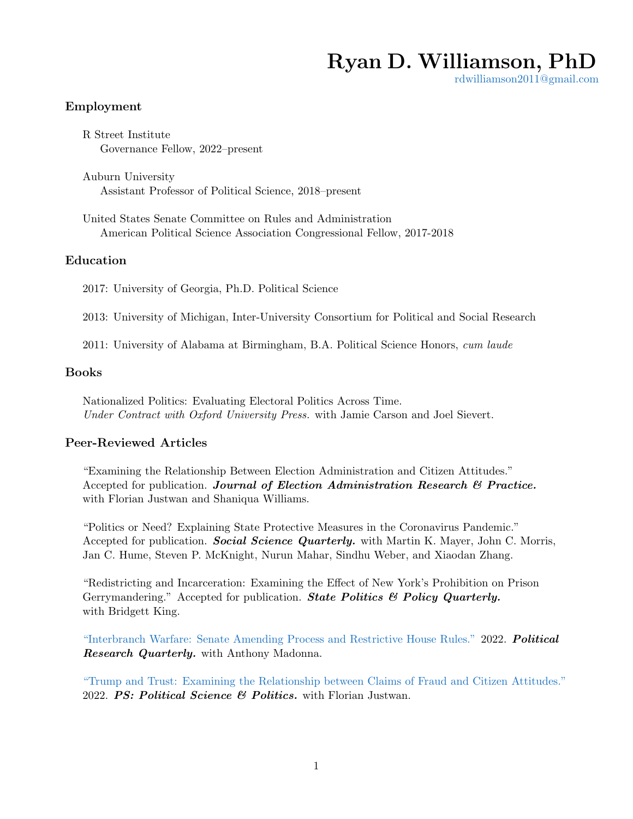# Ryan D. Williamson, PhD

[rdwilliamson2011@gmail.com](mailto:rdwilliamson2011@gmail.com)

# Employment

R Street Institute Governance Fellow, 2022–present

Auburn University Assistant Professor of Political Science, 2018–present

United States Senate Committee on Rules and Administration American Political Science Association Congressional Fellow, 2017-2018

#### Education

2017: University of Georgia, Ph.D. Political Science

2013: University of Michigan, Inter-University Consortium for Political and Social Research

2011: University of Alabama at Birmingham, B.A. Political Science Honors, cum laude

#### Books

Nationalized Politics: Evaluating Electoral Politics Across Time. Under Contract with Oxford University Press. with Jamie Carson and Joel Sievert.

# Peer-Reviewed Articles

"Examining the Relationship Between Election Administration and Citizen Attitudes." Accepted for publication. Journal of Election Administration Research & Practice. with Florian Justwan and Shaniqua Williams.

"Politics or Need? Explaining State Protective Measures in the Coronavirus Pandemic." Accepted for publication. Social Science Quarterly. with Martin K. Mayer, John C. Morris, Jan C. Hume, Steven P. McKnight, Nurun Mahar, Sindhu Weber, and Xiaodan Zhang.

"Redistricting and Incarceration: Examining the Effect of New York's Prohibition on Prison Gerrymandering." Accepted for publication. **State Politics & Policy Quarterly.** with Bridgett King.

["Interbranch Warfare: Senate Amending Process and Restrictive House Rules."](https://doi.org/10.1177/10659129221082321) 2022. Political Research Quarterly. with Anthony Madonna.

["Trump and Trust: Examining the Relationship between Claims of Fraud and Citizen Attitudes."](https://doi.org/10.1017/S1049096522000221) 2022. PS: Political Science & Politics. with Florian Justwan.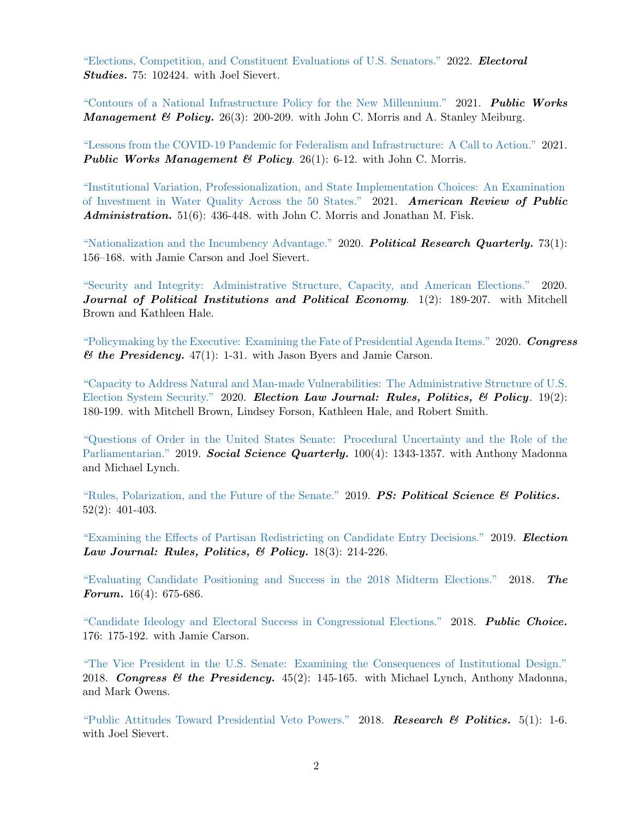["Elections, Competition, and Constituent Evaluations of U.S. Senators."](https://www.sciencedirect.com/science/article/pii/S0261379421001360) 2022. Electoral Studies. 75: 102424. with Joel Sievert.

["Contours of a National Infrastructure Policy for the New Millennium."](https://doi.org/10.1177/1087724X211016618) 2021. Public Works **Management & Policy.** 26(3): 200-209. with John C. Morris and A. Stanley Meiburg.

["Lessons from the COVID-19 Pandemic for Federalism and Infrastructure: A Call to Action."](https://doi.org/10.1177/1087724X20969165) 2021. **Public Works Management & Policy.** 26(1): 6-12. with John C. Morris.

["Institutional Variation, Professionalization, and State Implementation Choices: An Examination](https://doi.org/10.1177/02750740211007965) [of Investment in Water Quality Across the 50 States."](https://doi.org/10.1177/02750740211007965) 2021. American Review of Public Administration.  $51(6)$ :  $436-448$ . with John C. Morris and Jonathan M. Fisk.

["Nationalization and the Incumbency Advantage."](https://doi.org/10.1177/1065912919883696) 2020. **Political Research Quarterly.** 73(1): 156–168. with Jamie Carson and Joel Sievert.

["Security and Integrity: Administrative Structure, Capacity, and American Elections."](http://dx.doi.org/10.1561/113.00000008) 2020. Journal of Political Institutions and Political Economy.  $1(2)$ : 189-207. with Mitchell Brown and Kathleen Hale.

["Policymaking by the Executive: Examining the Fate of Presidential Agenda Items."](https://doi.org/10.1080/07343469.2019.1631905) 2020. Congress  $\mathcal{B}$  the Presidency. 47(1): 1-31. with Jason Byers and Jamie Carson.

["Capacity to Address Natural and Man-made Vulnerabilities: The Administrative Structure of U.S.](https://doi.org/10.1089/elj.2020.0626) [Election System Security."](https://doi.org/10.1089/elj.2020.0626) 2020. Election Law Journal: Rules, Politics, & Policy. 19(2): 180-199. with Mitchell Brown, Lindsey Forson, Kathleen Hale, and Robert Smith.

["Questions of Order in the United States Senate: Procedural Uncertainty and the Role of the](https://doi.org/10.1111/ssqu.12636) [Parliamentarian."](https://doi.org/10.1111/ssqu.12636) 2019. Social Science Quarterly. 100(4): 1343-1357. with Anthony Madonna and Michael Lynch.

["Rules, Polarization, and the Future of the Senate."](https://doi.org/10.1017/S1049096519000386) 2019. **PS: Political Science & Politics.** 52(2): 401-403.

["Examining the Effects of Partisan Redistricting on Candidate Entry Decisions."](https://doi.org/10.1089/elj.2018.0505) 2019. Election Law Journal: Rules, Politics, & Policy.  $18(3)$ :  $214-226$ .

["Evaluating Candidate Positioning and Success in the 2018 Midterm Elections."](https://www.degruyter.com/view/j/for.2018.16.issue-4/for-2018-0043/for-2018-0043.xml) 2018. The Forum. 16(4): 675-686.

["Candidate Ideology and Electoral Success in Congressional Elections."](https://link.springer.com/article/10.1007/s11127-017-0492-2) 2018. **Public Choice.** 176: 175-192. with Jamie Carson.

["The Vice President in the U.S. Senate: Examining the Consequences of Institutional Design."](https://www.tandfonline.com/doi/full/10.1080/07343469.2018.1444112) 2018. Congress & the Presidency.  $45(2)$ : 145-165. with Michael Lynch, Anthony Madonna, and Mark Owens.

["Public Attitudes Toward Presidential Veto Powers."](http://journals.sagepub.com/doi/full/10.1177/2053168017753873) 2018. Research & Politics.  $5(1)$ : 1-6. with Joel Sievert.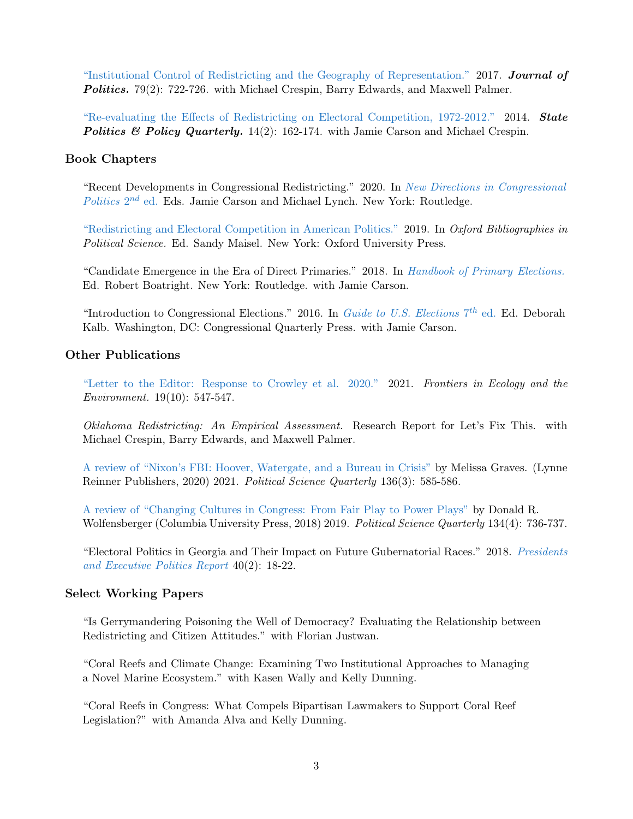["Institutional Control of Redistricting and the Geography of Representation."](http://www.journals.uchicago.edu/doi/full/10.1086/690633) 2017. Journal of **Politics.** 79(2): 722-726. with Michael Crespin, Barry Edwards, and Maxwell Palmer.

["Re-evaluating the Effects of Redistricting on Electoral Competition, 1972-2012."](http://journals.sagepub.com/doi/10.1177/1532440013520245) 2014. **State** Politics & Policy Quarterly. 14(2): 162-174. with Jamie Carson and Michael Crespin.

#### Book Chapters

"Recent Developments in Congressional Redistricting." 2020. In [New Directions in Congressional](https://www.taylorfrancis.com/books/9781003030256)  $Politics$   $2^{nd}$  ed. Eds. Jamie Carson and Michael Lynch. New York: Routledge.

["Redistricting and Electoral Competition in American Politics."](https://www.oxfordbibliographies.com/view/document/obo-9780199756223/obo-9780199756223-0279.xml) 2019. In Oxford Bibliographies in Political Science. Ed. Sandy Maisel. New York: Oxford University Press.

"Candidate Emergence in the Era of Direct Primaries." 2018. In [Handbook of Primary Elections.](https://www.routledge.com/Routledge-Handbook-of-Primary-Elections/Boatright/p/book/9781138684089) Ed. Robert Boatright. New York: Routledge. with Jamie Carson.

"Introduction to Congressional Elections." 2016. In [Guide to U.S. Elections](http://dx.doi.org/10.4135/9781483380346)  $7<sup>th</sup>$  ed. Ed. Deborah Kalb. Washington, DC: Congressional Quarterly Press. with Jamie Carson.

#### Other Publications

["Letter to the Editor: Response to Crowley et al. 2020."](https://doi.org/10.1002/fee.2428) 2021. Frontiers in Ecology and the Environment. 19(10): 547-547.

Oklahoma Redistricting: An Empirical Assessment. Research Report for Let's Fix This. with Michael Crespin, Barry Edwards, and Maxwell Palmer.

[A review of "Nixon's FBI: Hoover, Watergate, and a Bureau in Crisis"](https://www.psqonline.org/article.cfm?IDArticle=20221) by Melissa Graves. (Lynne Reinner Publishers, 2020) 2021. Political Science Quarterly 136(3): 585-586.

[A review of "Changing Cultures in Congress: From Fair Play to Power Plays"](https://onlinelibrary.wiley.com/doi/abs/10.1002/polq.12987) by Donald R. Wolfensberger (Columbia University Press, 2018) 2019. Political Science Quarterly 134(4): 736-737.

"Electoral Politics in Georgia and Their Impact on Future Gubernatorial Races." 2018. [Presidents](https://www.dropbox.com/s/72pyd7hk7w0qww7/PEP_Report_vol40(2).pdf?dl=0) [and Executive Politics Report](https://www.dropbox.com/s/72pyd7hk7w0qww7/PEP_Report_vol40(2).pdf?dl=0) 40(2): 18-22.

#### Select Working Papers

"Is Gerrymandering Poisoning the Well of Democracy? Evaluating the Relationship between Redistricting and Citizen Attitudes." with Florian Justwan.

"Coral Reefs and Climate Change: Examining Two Institutional Approaches to Managing a Novel Marine Ecosystem." with Kasen Wally and Kelly Dunning.

"Coral Reefs in Congress: What Compels Bipartisan Lawmakers to Support Coral Reef Legislation?" with Amanda Alva and Kelly Dunning.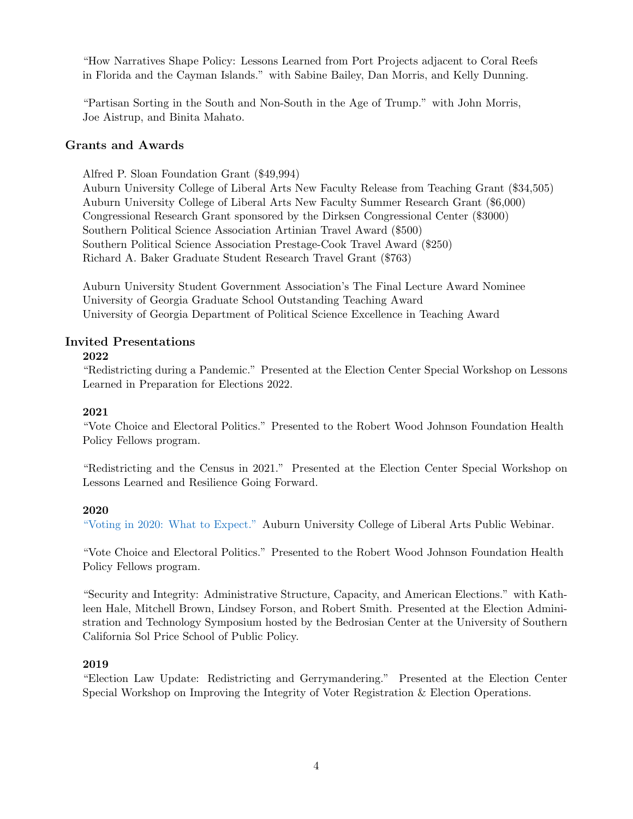"How Narratives Shape Policy: Lessons Learned from Port Projects adjacent to Coral Reefs in Florida and the Cayman Islands." with Sabine Bailey, Dan Morris, and Kelly Dunning.

"Partisan Sorting in the South and Non-South in the Age of Trump." with John Morris, Joe Aistrup, and Binita Mahato.

# Grants and Awards

Alfred P. Sloan Foundation Grant (\$49,994)

Auburn University College of Liberal Arts New Faculty Release from Teaching Grant (\$34,505) Auburn University College of Liberal Arts New Faculty Summer Research Grant (\$6,000) Congressional Research Grant sponsored by the Dirksen Congressional Center (\$3000) Southern Political Science Association Artinian Travel Award (\$500) Southern Political Science Association Prestage-Cook Travel Award (\$250) Richard A. Baker Graduate Student Research Travel Grant (\$763)

Auburn University Student Government Association's The Final Lecture Award Nominee University of Georgia Graduate School Outstanding Teaching Award University of Georgia Department of Political Science Excellence in Teaching Award

#### Invited Presentations

#### 2022

"Redistricting during a Pandemic." Presented at the Election Center Special Workshop on Lessons Learned in Preparation for Elections 2022.

#### 2021

"Vote Choice and Electoral Politics." Presented to the Robert Wood Johnson Foundation Health Policy Fellows program.

"Redistricting and the Census in 2021." Presented at the Election Center Special Workshop on Lessons Learned and Resilience Going Forward.

#### 2020

["Voting in 2020: What to Expect."](https://cla.auburn.edu/news/articles/political-science-professors-address-concerns-questions-about-voting-election-during-hourlong-webinar/) Auburn University College of Liberal Arts Public Webinar.

"Vote Choice and Electoral Politics." Presented to the Robert Wood Johnson Foundation Health Policy Fellows program.

"Security and Integrity: Administrative Structure, Capacity, and American Elections." with Kathleen Hale, Mitchell Brown, Lindsey Forson, and Robert Smith. Presented at the Election Administration and Technology Symposium hosted by the Bedrosian Center at the University of Southern California Sol Price School of Public Policy.

#### 2019

"Election Law Update: Redistricting and Gerrymandering." Presented at the Election Center Special Workshop on Improving the Integrity of Voter Registration & Election Operations.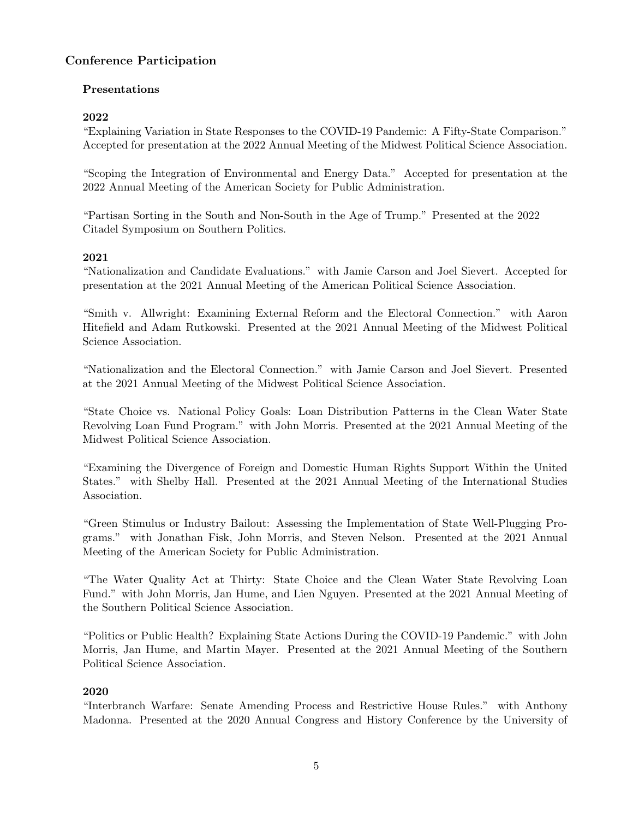# Conference Participation

# Presentations

# 2022

"Explaining Variation in State Responses to the COVID-19 Pandemic: A Fifty-State Comparison." Accepted for presentation at the 2022 Annual Meeting of the Midwest Political Science Association.

"Scoping the Integration of Environmental and Energy Data." Accepted for presentation at the 2022 Annual Meeting of the American Society for Public Administration.

"Partisan Sorting in the South and Non-South in the Age of Trump." Presented at the 2022 Citadel Symposium on Southern Politics.

# 2021

"Nationalization and Candidate Evaluations." with Jamie Carson and Joel Sievert. Accepted for presentation at the 2021 Annual Meeting of the American Political Science Association.

"Smith v. Allwright: Examining External Reform and the Electoral Connection." with Aaron Hitefield and Adam Rutkowski. Presented at the 2021 Annual Meeting of the Midwest Political Science Association.

"Nationalization and the Electoral Connection." with Jamie Carson and Joel Sievert. Presented at the 2021 Annual Meeting of the Midwest Political Science Association.

"State Choice vs. National Policy Goals: Loan Distribution Patterns in the Clean Water State Revolving Loan Fund Program." with John Morris. Presented at the 2021 Annual Meeting of the Midwest Political Science Association.

"Examining the Divergence of Foreign and Domestic Human Rights Support Within the United States." with Shelby Hall. Presented at the 2021 Annual Meeting of the International Studies Association.

"Green Stimulus or Industry Bailout: Assessing the Implementation of State Well-Plugging Programs." with Jonathan Fisk, John Morris, and Steven Nelson. Presented at the 2021 Annual Meeting of the American Society for Public Administration.

"The Water Quality Act at Thirty: State Choice and the Clean Water State Revolving Loan Fund." with John Morris, Jan Hume, and Lien Nguyen. Presented at the 2021 Annual Meeting of the Southern Political Science Association.

"Politics or Public Health? Explaining State Actions During the COVID-19 Pandemic." with John Morris, Jan Hume, and Martin Mayer. Presented at the 2021 Annual Meeting of the Southern Political Science Association.

# 2020

"Interbranch Warfare: Senate Amending Process and Restrictive House Rules." with Anthony Madonna. Presented at the 2020 Annual Congress and History Conference by the University of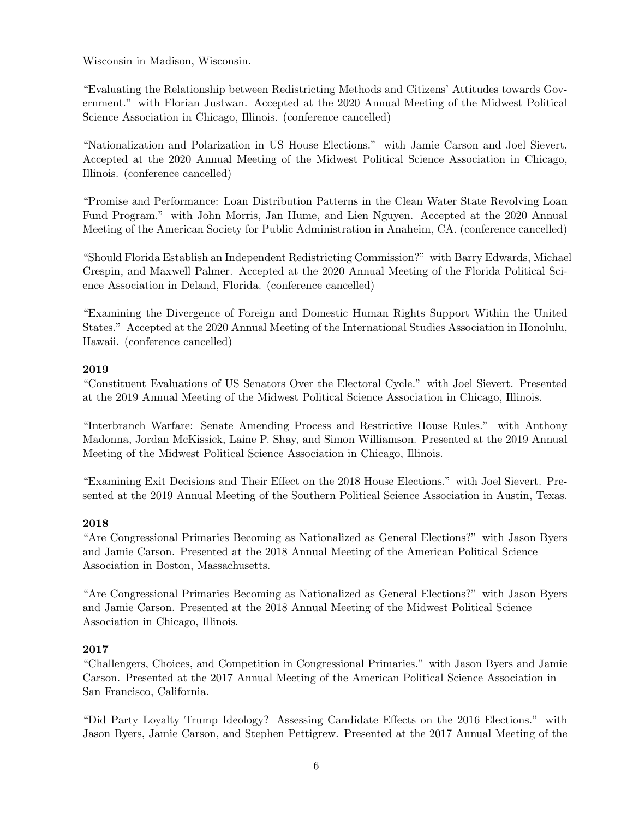Wisconsin in Madison, Wisconsin.

"Evaluating the Relationship between Redistricting Methods and Citizens' Attitudes towards Government." with Florian Justwan. Accepted at the 2020 Annual Meeting of the Midwest Political Science Association in Chicago, Illinois. (conference cancelled)

"Nationalization and Polarization in US House Elections." with Jamie Carson and Joel Sievert. Accepted at the 2020 Annual Meeting of the Midwest Political Science Association in Chicago, Illinois. (conference cancelled)

"Promise and Performance: Loan Distribution Patterns in the Clean Water State Revolving Loan Fund Program." with John Morris, Jan Hume, and Lien Nguyen. Accepted at the 2020 Annual Meeting of the American Society for Public Administration in Anaheim, CA. (conference cancelled)

"Should Florida Establish an Independent Redistricting Commission?" with Barry Edwards, Michael Crespin, and Maxwell Palmer. Accepted at the 2020 Annual Meeting of the Florida Political Science Association in Deland, Florida. (conference cancelled)

"Examining the Divergence of Foreign and Domestic Human Rights Support Within the United States." Accepted at the 2020 Annual Meeting of the International Studies Association in Honolulu, Hawaii. (conference cancelled)

# 2019

"Constituent Evaluations of US Senators Over the Electoral Cycle." with Joel Sievert. Presented at the 2019 Annual Meeting of the Midwest Political Science Association in Chicago, Illinois.

"Interbranch Warfare: Senate Amending Process and Restrictive House Rules." with Anthony Madonna, Jordan McKissick, Laine P. Shay, and Simon Williamson. Presented at the 2019 Annual Meeting of the Midwest Political Science Association in Chicago, Illinois.

"Examining Exit Decisions and Their Effect on the 2018 House Elections." with Joel Sievert. Presented at the 2019 Annual Meeting of the Southern Political Science Association in Austin, Texas.

#### 2018

"Are Congressional Primaries Becoming as Nationalized as General Elections?" with Jason Byers and Jamie Carson. Presented at the 2018 Annual Meeting of the American Political Science Association in Boston, Massachusetts.

"Are Congressional Primaries Becoming as Nationalized as General Elections?" with Jason Byers and Jamie Carson. Presented at the 2018 Annual Meeting of the Midwest Political Science Association in Chicago, Illinois.

#### 2017

"Challengers, Choices, and Competition in Congressional Primaries." with Jason Byers and Jamie Carson. Presented at the 2017 Annual Meeting of the American Political Science Association in San Francisco, California.

"Did Party Loyalty Trump Ideology? Assessing Candidate Effects on the 2016 Elections." with Jason Byers, Jamie Carson, and Stephen Pettigrew. Presented at the 2017 Annual Meeting of the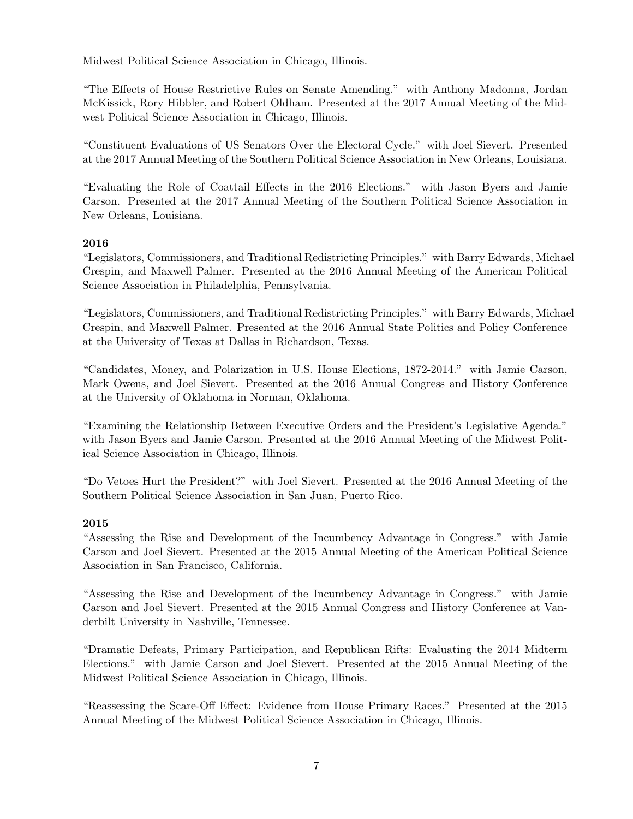Midwest Political Science Association in Chicago, Illinois.

"The Effects of House Restrictive Rules on Senate Amending." with Anthony Madonna, Jordan McKissick, Rory Hibbler, and Robert Oldham. Presented at the 2017 Annual Meeting of the Midwest Political Science Association in Chicago, Illinois.

"Constituent Evaluations of US Senators Over the Electoral Cycle." with Joel Sievert. Presented at the 2017 Annual Meeting of the Southern Political Science Association in New Orleans, Louisiana.

"Evaluating the Role of Coattail Effects in the 2016 Elections." with Jason Byers and Jamie Carson. Presented at the 2017 Annual Meeting of the Southern Political Science Association in New Orleans, Louisiana.

#### 2016

"Legislators, Commissioners, and Traditional Redistricting Principles." with Barry Edwards, Michael Crespin, and Maxwell Palmer. Presented at the 2016 Annual Meeting of the American Political Science Association in Philadelphia, Pennsylvania.

"Legislators, Commissioners, and Traditional Redistricting Principles." with Barry Edwards, Michael Crespin, and Maxwell Palmer. Presented at the 2016 Annual State Politics and Policy Conference at the University of Texas at Dallas in Richardson, Texas.

"Candidates, Money, and Polarization in U.S. House Elections, 1872-2014." with Jamie Carson, Mark Owens, and Joel Sievert. Presented at the 2016 Annual Congress and History Conference at the University of Oklahoma in Norman, Oklahoma.

"Examining the Relationship Between Executive Orders and the President's Legislative Agenda." with Jason Byers and Jamie Carson. Presented at the 2016 Annual Meeting of the Midwest Political Science Association in Chicago, Illinois.

"Do Vetoes Hurt the President?" with Joel Sievert. Presented at the 2016 Annual Meeting of the Southern Political Science Association in San Juan, Puerto Rico.

# 2015

"Assessing the Rise and Development of the Incumbency Advantage in Congress." with Jamie Carson and Joel Sievert. Presented at the 2015 Annual Meeting of the American Political Science Association in San Francisco, California.

"Assessing the Rise and Development of the Incumbency Advantage in Congress." with Jamie Carson and Joel Sievert. Presented at the 2015 Annual Congress and History Conference at Vanderbilt University in Nashville, Tennessee.

"Dramatic Defeats, Primary Participation, and Republican Rifts: Evaluating the 2014 Midterm Elections." with Jamie Carson and Joel Sievert. Presented at the 2015 Annual Meeting of the Midwest Political Science Association in Chicago, Illinois.

"Reassessing the Scare-Off Effect: Evidence from House Primary Races." Presented at the 2015 Annual Meeting of the Midwest Political Science Association in Chicago, Illinois.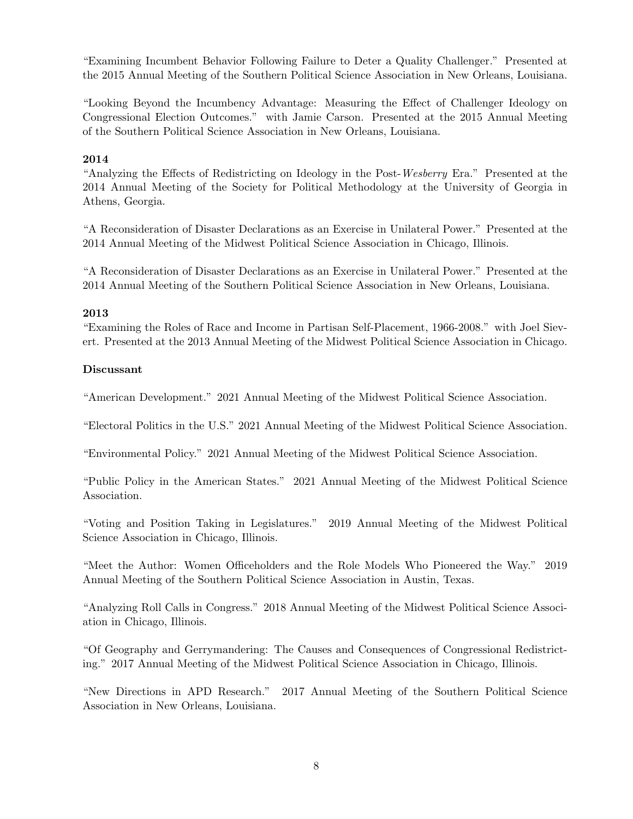"Examining Incumbent Behavior Following Failure to Deter a Quality Challenger." Presented at the 2015 Annual Meeting of the Southern Political Science Association in New Orleans, Louisiana.

"Looking Beyond the Incumbency Advantage: Measuring the Effect of Challenger Ideology on Congressional Election Outcomes." with Jamie Carson. Presented at the 2015 Annual Meeting of the Southern Political Science Association in New Orleans, Louisiana.

#### 2014

"Analyzing the Effects of Redistricting on Ideology in the Post-Wesberry Era." Presented at the 2014 Annual Meeting of the Society for Political Methodology at the University of Georgia in Athens, Georgia.

"A Reconsideration of Disaster Declarations as an Exercise in Unilateral Power." Presented at the 2014 Annual Meeting of the Midwest Political Science Association in Chicago, Illinois.

"A Reconsideration of Disaster Declarations as an Exercise in Unilateral Power." Presented at the 2014 Annual Meeting of the Southern Political Science Association in New Orleans, Louisiana.

#### 2013

"Examining the Roles of Race and Income in Partisan Self-Placement, 1966-2008." with Joel Sievert. Presented at the 2013 Annual Meeting of the Midwest Political Science Association in Chicago.

#### Discussant

"American Development." 2021 Annual Meeting of the Midwest Political Science Association.

"Electoral Politics in the U.S." 2021 Annual Meeting of the Midwest Political Science Association.

"Environmental Policy." 2021 Annual Meeting of the Midwest Political Science Association.

"Public Policy in the American States." 2021 Annual Meeting of the Midwest Political Science Association.

"Voting and Position Taking in Legislatures." 2019 Annual Meeting of the Midwest Political Science Association in Chicago, Illinois.

"Meet the Author: Women Officeholders and the Role Models Who Pioneered the Way." 2019 Annual Meeting of the Southern Political Science Association in Austin, Texas.

"Analyzing Roll Calls in Congress." 2018 Annual Meeting of the Midwest Political Science Association in Chicago, Illinois.

"Of Geography and Gerrymandering: The Causes and Consequences of Congressional Redistricting." 2017 Annual Meeting of the Midwest Political Science Association in Chicago, Illinois.

"New Directions in APD Research." 2017 Annual Meeting of the Southern Political Science Association in New Orleans, Louisiana.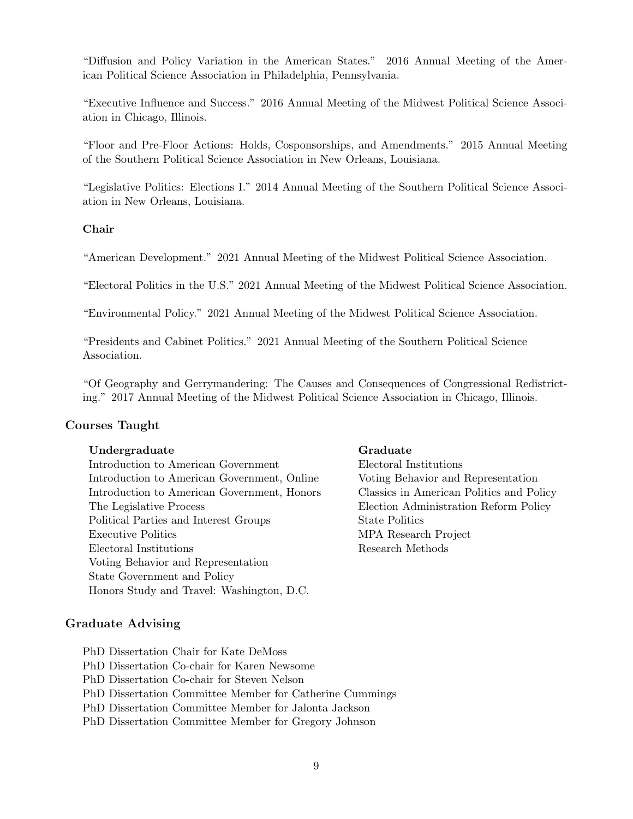"Diffusion and Policy Variation in the American States." 2016 Annual Meeting of the American Political Science Association in Philadelphia, Pennsylvania.

"Executive Influence and Success." 2016 Annual Meeting of the Midwest Political Science Association in Chicago, Illinois.

"Floor and Pre-Floor Actions: Holds, Cosponsorships, and Amendments." 2015 Annual Meeting of the Southern Political Science Association in New Orleans, Louisiana.

"Legislative Politics: Elections I." 2014 Annual Meeting of the Southern Political Science Association in New Orleans, Louisiana.

#### Chair

"American Development." 2021 Annual Meeting of the Midwest Political Science Association.

"Electoral Politics in the U.S." 2021 Annual Meeting of the Midwest Political Science Association.

"Environmental Policy." 2021 Annual Meeting of the Midwest Political Science Association.

"Presidents and Cabinet Politics." 2021 Annual Meeting of the Southern Political Science Association.

"Of Geography and Gerrymandering: The Causes and Consequences of Congressional Redistricting." 2017 Annual Meeting of the Midwest Political Science Association in Chicago, Illinois.

#### Courses Taught

#### Undergraduate Graduate

Introduction to American Government Electoral Institutions Introduction to American Government, Online Voting Behavior and Representation Introduction to American Government, Honors Classics in American Politics and Policy The Legislative Process Election Administration Reform Policy Political Parties and Interest Groups State Politics Executive Politics MPA Research Project Electoral Institutions Research Methods Voting Behavior and Representation State Government and Policy Honors Study and Travel: Washington, D.C.

#### Graduate Advising

PhD Dissertation Chair for Kate DeMoss PhD Dissertation Co-chair for Karen Newsome PhD Dissertation Co-chair for Steven Nelson PhD Dissertation Committee Member for Catherine Cummings PhD Dissertation Committee Member for Jalonta Jackson PhD Dissertation Committee Member for Gregory Johnson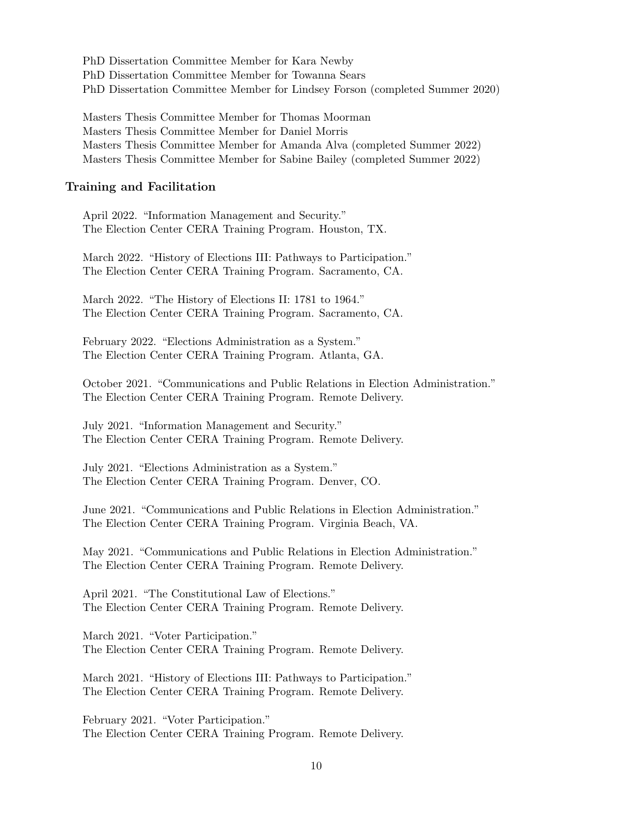PhD Dissertation Committee Member for Kara Newby PhD Dissertation Committee Member for Towanna Sears PhD Dissertation Committee Member for Lindsey Forson (completed Summer 2020)

Masters Thesis Committee Member for Thomas Moorman Masters Thesis Committee Member for Daniel Morris Masters Thesis Committee Member for Amanda Alva (completed Summer 2022) Masters Thesis Committee Member for Sabine Bailey (completed Summer 2022)

#### Training and Facilitation

April 2022. "Information Management and Security." The Election Center CERA Training Program. Houston, TX.

March 2022. "History of Elections III: Pathways to Participation." The Election Center CERA Training Program. Sacramento, CA.

March 2022. "The History of Elections II: 1781 to 1964." The Election Center CERA Training Program. Sacramento, CA.

February 2022. "Elections Administration as a System." The Election Center CERA Training Program. Atlanta, GA.

October 2021. "Communications and Public Relations in Election Administration." The Election Center CERA Training Program. Remote Delivery.

July 2021. "Information Management and Security." The Election Center CERA Training Program. Remote Delivery.

July 2021. "Elections Administration as a System." The Election Center CERA Training Program. Denver, CO.

June 2021. "Communications and Public Relations in Election Administration." The Election Center CERA Training Program. Virginia Beach, VA.

May 2021. "Communications and Public Relations in Election Administration." The Election Center CERA Training Program. Remote Delivery.

April 2021. "The Constitutional Law of Elections." The Election Center CERA Training Program. Remote Delivery.

March 2021. "Voter Participation." The Election Center CERA Training Program. Remote Delivery.

March 2021. "History of Elections III: Pathways to Participation." The Election Center CERA Training Program. Remote Delivery.

February 2021. "Voter Participation." The Election Center CERA Training Program. Remote Delivery.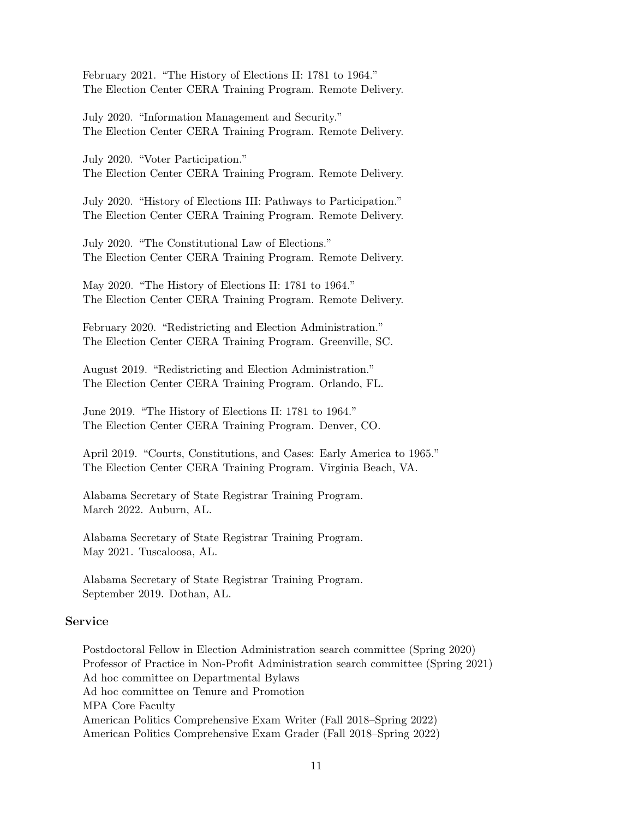February 2021. "The History of Elections II: 1781 to 1964." The Election Center CERA Training Program. Remote Delivery.

July 2020. "Information Management and Security." The Election Center CERA Training Program. Remote Delivery.

July 2020. "Voter Participation." The Election Center CERA Training Program. Remote Delivery.

July 2020. "History of Elections III: Pathways to Participation." The Election Center CERA Training Program. Remote Delivery.

July 2020. "The Constitutional Law of Elections." The Election Center CERA Training Program. Remote Delivery.

May 2020. "The History of Elections II: 1781 to 1964." The Election Center CERA Training Program. Remote Delivery.

February 2020. "Redistricting and Election Administration." The Election Center CERA Training Program. Greenville, SC.

August 2019. "Redistricting and Election Administration." The Election Center CERA Training Program. Orlando, FL.

June 2019. "The History of Elections II: 1781 to 1964." The Election Center CERA Training Program. Denver, CO.

April 2019. "Courts, Constitutions, and Cases: Early America to 1965." The Election Center CERA Training Program. Virginia Beach, VA.

Alabama Secretary of State Registrar Training Program. March 2022. Auburn, AL.

Alabama Secretary of State Registrar Training Program. May 2021. Tuscaloosa, AL.

Alabama Secretary of State Registrar Training Program. September 2019. Dothan, AL.

#### Service

Postdoctoral Fellow in Election Administration search committee (Spring 2020) Professor of Practice in Non-Profit Administration search committee (Spring 2021) Ad hoc committee on Departmental Bylaws Ad hoc committee on Tenure and Promotion MPA Core Faculty American Politics Comprehensive Exam Writer (Fall 2018–Spring 2022) American Politics Comprehensive Exam Grader (Fall 2018–Spring 2022)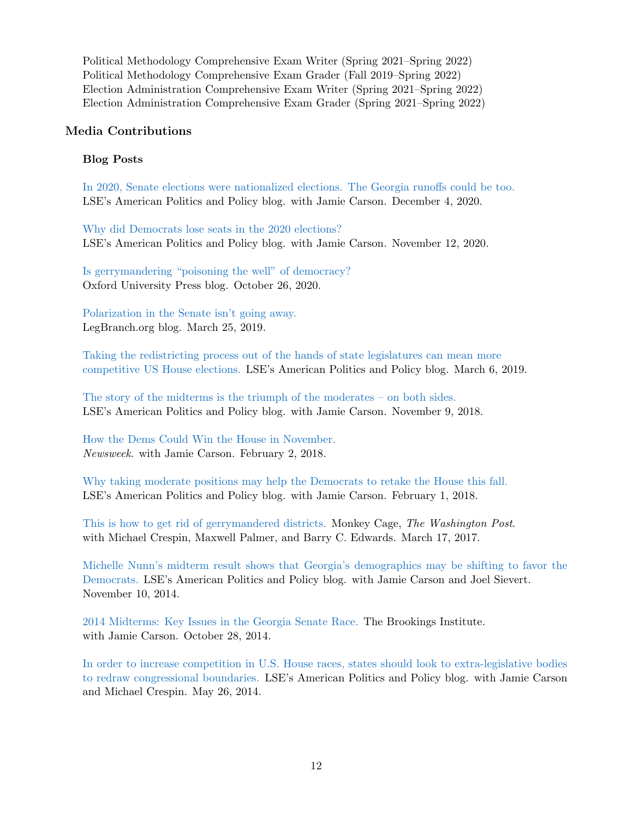Political Methodology Comprehensive Exam Writer (Spring 2021–Spring 2022) Political Methodology Comprehensive Exam Grader (Fall 2019–Spring 2022) Election Administration Comprehensive Exam Writer (Spring 2021–Spring 2022) Election Administration Comprehensive Exam Grader (Spring 2021–Spring 2022)

#### Media Contributions

#### Blog Posts

[In 2020, Senate elections were nationalized elections. The Georgia runoffs could be too.](https://blogs.lse.ac.uk/usappblog/2020/12/04/in-2020-senate-elections-were-nationalized-elections-the-georgia-runoffs-could-be-too/) LSE's American Politics and Policy blog. with Jamie Carson. December 4, 2020.

[Why did Democrats lose seats in the 2020 elections?](https://blogs.lse.ac.uk/usappblog/2020/11/12/why-did-democrats-lose-seats-in-the-2020-elections-more-incumbents-ran-in-more-competitive-districts/) LSE's American Politics and Policy blog. with Jamie Carson. November 12, 2020.

[Is gerrymandering "poisoning the well" of democracy?](https://blog.oup.com/2020/10/is-gerrymandering-poisoning-the-well-of-democracy/) Oxford University Press blog. October 26, 2020.

[Polarization in the Senate isn't going away.](https://www.legbranch.org/polarization-in-the-senate-isnt-going-away/) LegBranch.org blog. March 25, 2019.

[Taking the redistricting process out of the hands of state legislatures can mean more](http://bit.ly/2H4vX8b) [competitive US House elections.](http://bit.ly/2H4vX8b) LSE's American Politics and Policy blog. March 6, 2019.

[The story of the midterms is the triumph of the moderates – on both sides.](http://blogs.lse.ac.uk/usappblog/2018/11/09/the-story-of-the-midterms-is-the-triumph-of-the-moderates-on-both-sides/?fbclid=IwAR2xxqeeull7SSMb3ufzBAEo1py6mbYQC6aKL941F3yYiGi0dE9SsQm1R0M) LSE's American Politics and Policy blog. with Jamie Carson. November 9, 2018.

[How the Dems Could Win the House in November.](http://www.newsweek.com/how-dems-could-win-house-november-798381) Newsweek. with Jamie Carson. February 2, 2018.

[Why taking moderate positions may help the Democrats to retake the House this fall.](http://bit.ly/2nxKvRH) LSE's American Politics and Policy blog. with Jamie Carson. February 1, 2018.

[This is how to get rid of gerrymandered districts.](https://www.washingtonpost.com/news/monkey-cage/wp/2017/03/17/this-will-get-rid-of-gerrymandered-districts/?utm_term=.93c5894a7223) Monkey Cage, The Washington Post. with Michael Crespin, Maxwell Palmer, and Barry C. Edwards. March 17, 2017.

[Michelle Nunn's midterm result shows that Georgia's demographics may be shifting to favor the](http://bit.ly/1zf19UM) [Democrats.](http://bit.ly/1zf19UM) LSE's American Politics and Policy blog. with Jamie Carson and Joel Sievert. November 10, 2014.

[2014 Midterms: Key Issues in the Georgia Senate Race.](http://www.brookings.edu/blogs/fixgov/posts/2014/10/28-2014-midterms-georgia-senate-race-carson) The Brookings Institute. with Jamie Carson. October 28, 2014.

[In order to increase competition in U.S. House races, states should look to extra-legislative bodies](http://bit.ly/1vSn0RB) [to redraw congressional boundaries.](http://bit.ly/1vSn0RB) LSE's American Politics and Policy blog. with Jamie Carson and Michael Crespin. May 26, 2014.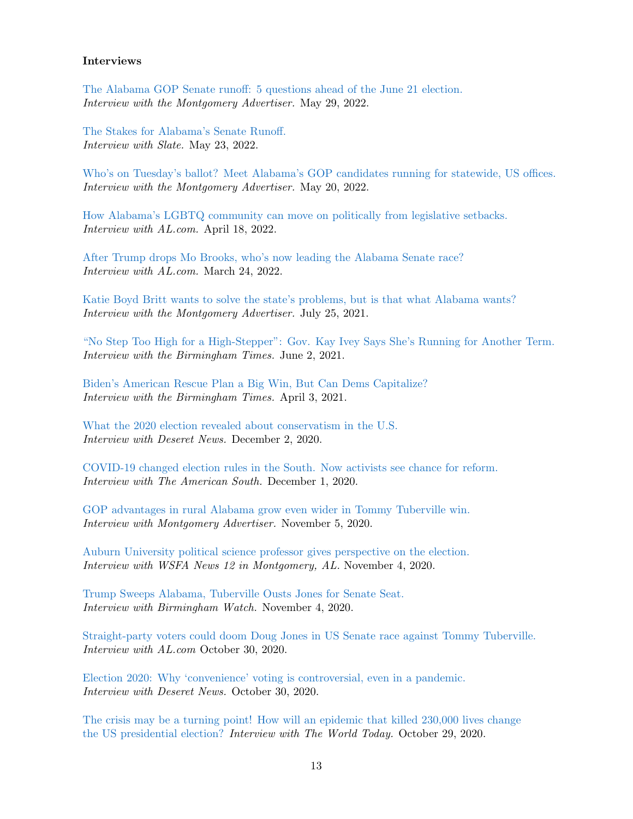#### Interviews

[The Alabama GOP Senate runoff: 5 questions ahead of the June 21 election.](https://www.montgomeryadvertiser.com/story/news/2022/05/29/alabama-gop-senate-runoff-katie-britt-mo-brooks-trump-election/9927196002/) Interview with the Montgomery Advertiser. May 29, 2022.

[The Stakes for Alabama's Senate Runoff.](https://slate.com/news-and-politics/2022/05/alabama-senate-primary-katie-britt-mo-brooks-mike-durant.html) Interview with Slate. May 23, 2022.

[Who's on Tuesday's ballot? Meet Alabama's GOP candidates running for statewide, US offices.](https://www.montgomeryadvertiser.com/story/news/2022/05/20/alabama-republican-gop-candidates-governor-senate-secretary-state-and-auditor/9828294002/) Interview with the Montgomery Advertiser. May 20, 2022.

[How Alabama's LGBTQ community can move on politically from legislative setbacks.](https://www.al.com/news/2022/04/without-clout-how-alabamas-lgbtq-community-can-move-on-politically-from-legislative-setbacks.html) Interview with AL.com. April 18, 2022.

[After Trump drops Mo Brooks, who's now leading the Alabama Senate race?](https://www.al.com/news/2022/03/after-trump-drops-mo-brooks-whos-now-leading-the-alabama-senate-race.html) Interview with AL.com. March 24, 2022.

[Katie Boyd Britt wants to solve the state's problems, but is that what Alabama wants?](https://www.montgomeryadvertiser.com/story/news/2021/07/26/katie-boyd-britt-us-senate-race-wants-solve-alabamas-problems-what-alabama-wants-richard-shelby/5310697001/) Interview with the Montgomery Advertiser. July 25, 2021.

["No Step Too High for a High-Stepper": Gov. Kay Ivey Says She's Running for Another Term.](https://birminghamwatch.org/no-step-too-high-for-a-high-stepper-gov-kay-ivey-says-shes-running-for-another-term/) Interview with the Birmingham Times. June 2, 2021.

[Biden's American Rescue Plan a Big Win, But Can Dems Capitalize?](http://www.birminghamtimes.com/2021/04/bidens-american-rescue-plan-a-big-win-but-can-dems-capitalize/) Interview with the Birmingham Times. April 3, 2021.

[What the 2020 election revealed about conservatism in the U.S.](https://www.deseret.com/indepth/2020/12/1/21575792/2020-election-conservatives-liberals-socialism-trump-republican-democrat) Interview with Deseret News. December 2, 2020.

[COVID-19 changed election rules in the South. Now activists see chance for reform.](https://www.usatoday.com/story/news/american-south/2020/12/01/covid-19-changed-election-rules-south-now-activists-want-reform/6419005002/) Interview with The American South. December 1, 2020.

[GOP advantages in rural Alabama grow even wider in Tommy Tuberville win.](https://www.montgomeryadvertiser.com/story/news/2020/11/05/gop-advantages-rural-alabama-grow-even-wider-tommy-tuberville-win/6164785002/) Interview with Montgomery Advertiser. November 5, 2020.

[Auburn University political science professor gives perspective on the election.](https://www.wsfa.com/video/2020/11/04/auburn-university-political-science-professor-gives-perspective-election/) Interview with WSFA News 12 in Montgomery, AL. November 4, 2020.

[Trump Sweeps Alabama, Tuberville Ousts Jones for Senate Seat.](https://birminghamwatch.org/trump-sweeps-alabama-tuberville-ousts-jones-for-senate-seat/) Interview with Birmingham Watch. November 4, 2020.

[Straight-party voters could doom Doug Jones in US Senate race against Tommy Tuberville.](https://www.al.com/news/2020/10/straight-party-voters-could-doom-doug-jones-in-us-senate-race-against-tommy-tuberville.html) Interview with AL.com October 30, 2020.

[Election 2020: Why 'convenience' voting is controversial, even in a pandemic.](https://www.deseret.com/indepth/2020/10/30/21534768/election-2020-why-convenience-voting-is-controversial-pandemic-early-voting-democrats-republicans) Interview with Deseret News. October 30, 2020.

[The crisis may be a turning point! How will an epidemic that killed 230,000 lives change](https://www.youtube.com/watch?v=WBe6LIqt0L8) [the US presidential election?](https://www.youtube.com/watch?v=WBe6LIqt0L8) Interview with The World Today. October 29, 2020.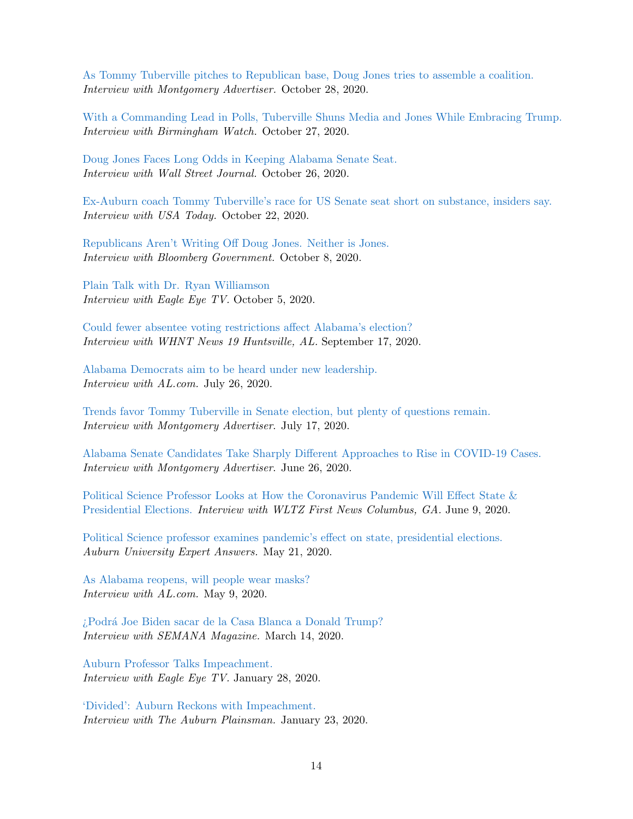[As Tommy Tuberville pitches to Republican base, Doug Jones tries to assemble a coalition.](https://www.montgomeryadvertiser.com/story/news/2020/10/28/alabama-senate-tommy-tuberville-pitches-base-doug-jones-attempts-coalition/3719427001/) Interview with Montgomery Advertiser. October 28, 2020.

[With a Commanding Lead in Polls, Tuberville Shuns Media and Jones While Embracing Trump.](https://birminghamwatch.org/commanding-lead-polls-tuberville-shuns-media-jones-embracing-trump/) Interview with Birmingham Watch. October 27, 2020.

[Doug Jones Faces Long Odds in Keeping Alabama Senate Seat.](https://www.wsj.com/articles/doug-jones-faces-long-odds-in-keeping-alabama-senate-seat-11603731633) Interview with Wall Street Journal. October 26, 2020.

[Ex-Auburn coach Tommy Tuberville's race for US Senate seat short on substance, insiders say.](https://www.usatoday.com/story/sports/2020/10/22/ex-auburn-coach-tommy-tubervilles-race-senate-short-substance/6001429002/) Interview with USA Today. October 22, 2020.

[Republicans Aren't Writing Off Doug Jones. Neither is Jones.](https://about.bgov.com/news/republicans-arent-writing-off-doug-jones-neither-is-jones/) Interview with Bloomberg Government. October 8, 2020.

[Plain Talk with Dr. Ryan Williamson](https://www.youtube.com/watch?v=rawfSzM7rKQ&feature=youtu.be) Interview with Eagle Eye TV. October 5, 2020.

[Could fewer absentee voting restrictions affect Alabama's election?](https://whnt.com/news/could-fewer-absentee-voting-restrictions-affect-alabamas-election/) Interview with WHNT News 19 Huntsville, AL. September 17, 2020.

[Alabama Democrats aim to be heard under new leadership.](https://www.al.com/news/2020/07/alabama-democrats-aim-to-be-heard-under-new-leadership.html) Interview with AL.com. July 26, 2020.

[Trends favor Tommy Tuberville in Senate election, but plenty of questions remain.](https://www.montgomeryadvertiser.com/story/news/2020/07/17/trends-favor-tuberville-senate-election-but-plenty-questions-remain/5450005002/) Interview with Montgomery Advertiser. July 17, 2020.

[Alabama Senate Candidates Take Sharply Different Approaches to Rise in COVID-19 Cases.](https://www.montgomeryadvertiser.com/story/news/2020/06/26/alabama-senate-candidates-take-different-approaches-rise-covid-19-cases-tuberville-sessions-jones/3257189001/) Interview with Montgomery Advertiser. June 26, 2020.

[Political Science Professor Looks at How the Coronavirus Pandemic Will Effect State &](https://www.wltz.com/2020/06/09/political-science-professor-looks-at-how-the-coronavirus-pandemic-will-effect-state-presidential-elections/) [Presidential Elections.](https://www.wltz.com/2020/06/09/political-science-professor-looks-at-how-the-coronavirus-pandemic-will-effect-state-presidential-elections/) Interview with WLTZ First News Columbus, GA. June 9, 2020.

[Political Science professor examines pandemic's effect on state, presidential elections.](https://ocm.auburn.edu/experts/2020/05/211009-election.php) Auburn University Expert Answers. May 21, 2020.

[As Alabama reopens, will people wear masks?](https://www.al.com/news/2020/05/as-alabama-reopens-will-people-wear-masks.html) Interview with AL.com. May 9, 2020.

[¿Podr´a Joe Biden sacar de la Casa Blanca a Donald Trump?](https://www.semana.com/mundo/articulo/quien-es-el-rival-democrata-mas-fuerte-de-trump/656651) Interview with SEMANA Magazine. March 14, 2020.

[Auburn Professor Talks Impeachment.](https://www.eagleeyeauburn.com/article/2020/01/auburn-professor-talks-impeachment) Interview with Eagle Eye TV. January 28, 2020.

['Divided': Auburn Reckons with Impeachment.](https://www.theplainsman.com/article/2020/01/divided-auburn-reckons-with-impeachment1) Interview with The Auburn Plainsman. January 23, 2020.